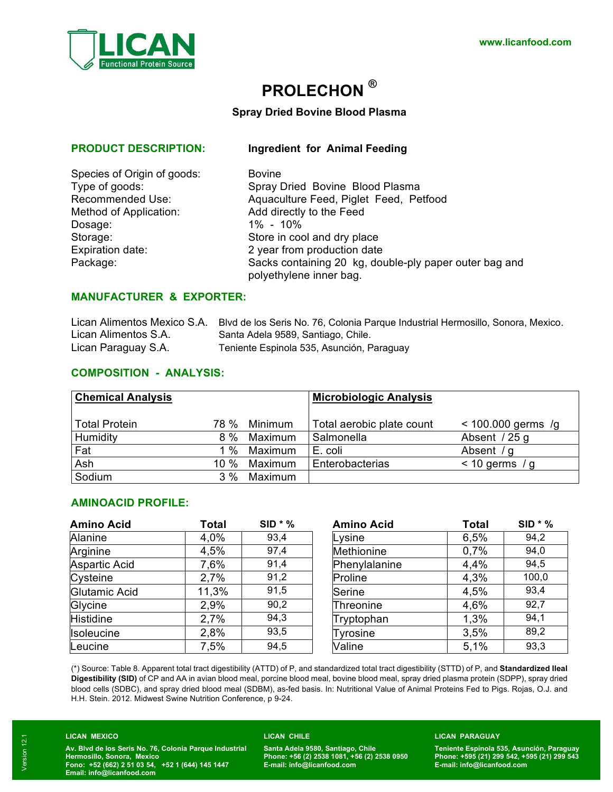

# **PROLECHON ®**

### **Spray Dried Bovine Blood Plasma**

**PRODUCT DESCRIPTION: Ingredient for Animal Feeding**

| Species of Origin of goods: | <b>Bovine</b>               |
|-----------------------------|-----------------------------|
| Type of goods:              | Spray Dried Bovine Blood    |
| <b>Recommended Use:</b>     | Aquaculture Feed, Piglet F  |
| Method of Application:      | Add directly to the Feed    |
| Dosage:                     | $1\% - 10\%$                |
| Storage:                    | Store in cool and dry place |
| Expiration date:            | 2 year from production date |
| Package:                    | Sacks containing 20 kg, do  |

| Species of Origin of goods: | <b>Bovine</b>                                                                     |
|-----------------------------|-----------------------------------------------------------------------------------|
| Type of goods:              | Spray Dried Bovine Blood Plasma                                                   |
| Recommended Use:            | Aquaculture Feed, Piglet Feed, Petfood                                            |
| Method of Application:      | Add directly to the Feed                                                          |
| Dosage:                     | $1\% - 10\%$                                                                      |
| Storage:                    | Store in cool and dry place                                                       |
| <b>Expiration date:</b>     | 2 year from production date                                                       |
| Package:                    | Sacks containing 20 kg, double-ply paper outer bag and<br>polyethylene inner bag. |

## **MANUFACTURER & EXPORTER:**

|                      | Lican Alimentos Mexico S.A. Blvd de los Seris No. 76, Colonia Parque Industrial Hermosillo, Sonora, Mexico. |
|----------------------|-------------------------------------------------------------------------------------------------------------|
| Lican Alimentos S.A. | Santa Adela 9589, Santiago, Chile.                                                                          |
| Lican Paraguay S.A.  | Teniente Espinola 535, Asunción, Paraguay                                                                   |

### **COMPOSITION - ANALYSIS:**

| <b>Chemical Analysis</b> |        |         | <b>Microbiologic Analysis</b> |                      |
|--------------------------|--------|---------|-------------------------------|----------------------|
| <b>Total Protein</b>     | 78 %   | Minimum | Total aerobic plate count     | $< 100.000$ germs /g |
| Humidity                 | $8\%$  | Maximum | Salmonella                    | Absent / 25 g        |
| Fat                      | %      | Maximum | E. coli                       | Absent $/g$          |
| Ash                      | 10 $%$ | Maximum | Enterobacterias               | $<$ 10 germs / g     |
| Sodium                   | 3%     | Maximum |                               |                      |

### **AMINOACID PROFILE:**

| <b>Amino Acid</b> | Total | $SID * %$ | <b>Amino Acid</b> | <b>Total</b> | $SID * %$ |
|-------------------|-------|-----------|-------------------|--------------|-----------|
| Alanine           | 4,0%  | 93,4      | Lysine            | 6,5%         | 94,2      |
| Arginine          | 4,5%  | 97,4      | Methionine        | 0,7%         | 94,0      |
| Aspartic Acid     | 7,6%  | 91,4      | Phenylalanine     | 4,4%         | 94,5      |
| Cysteine          | 2,7%  | 91,2      | Proline           | 4,3%         | 100,0     |
| Glutamic Acid     | 11,3% | 91,5      | Serine            | 4,5%         | 93,4      |
| Glycine           | 2,9%  | 90,2      | Threonine         | 4,6%         | 92,7      |
| <b>Histidine</b>  | 2,7%  | 94,3      | Tryptophan        | 1,3%         | 94,1      |
| <b>Isoleucine</b> | 2,8%  | 93,5      | Tyrosine          | 3,5%         | 89,2      |
| Leucine           | 7,5%  | 94,5      | Valine            | 5,1%         | 93,3      |

| <b>Amino Acid</b> | <b>Total</b> | $SID * %$ |
|-------------------|--------------|-----------|
| Lysine            | 6,5%         | 94,2      |
| Methionine        | 0,7%         | 94,0      |
| Phenylalanine     | 4,4%         | 94,5      |
| Proline           | 4,3%         | 100,0     |
| Serine            | 4,5%         | 93,4      |
| Threonine         | 4,6%         | 92,7      |
| Tryptophan        | 1,3%         | 94,1      |
| <b>Tyrosine</b>   | 3,5%         | 89,2      |
| Valine            | 5,1%         | 93,3      |

(\*) Source: Table 8. Apparent total tract digestibility (ATTD) of P, and standardized total tract digestibility (STTD) of P, and **Standardized Ileal Digestibility (SID)** of CP and AA in avian blood meal, porcine blood meal, bovine blood meal, spray dried plasma protein (SDPP), spray dried blood cells (SDBC), and spray dried blood meal (SDBM), as-fed basis. In: Nutritional Value of Animal Proteins Fed to Pigs. Rojas, O.J. and H.H. Stein. 2012. Midwest Swine Nutrition Conference, p 9-24.

### **LICAN MEXICO**

**Av. Blvd de los Seris No. 76, Colonia Parque Industrial Hermosillo, Sonora, Mexico Fono: +52 (662) 2 51 03 54, +52 1 (644) 145 1447 Email: info@licanfood.com**

#### **LICAN CHILE**

**Santa Adela 9580, Santiago, Chile Phone: +56 (2) 2538 1081, +56 (2) 2538 0950 E-mail: info@licanfood.com**

#### **LICAN PARAGUAY**

**Teniente Espínola 535, Asunción, Paraguay Phone: +595 (21) 299 542, +595 (21) 299 543 E-mail: info@licanfood.com**